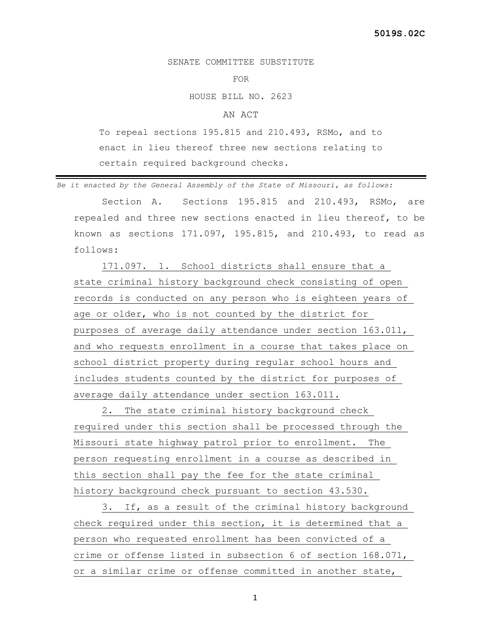## SENATE COMMITTEE SUBSTITUTE

## FOR

HOUSE BILL NO. 2623

## AN ACT

To repeal sections 195.815 and 210.493, RSMo, and to enact in lieu thereof three new sections relating to certain required background checks.

*Be it enacted by the General Assembly of the State of Missouri, as follows:*

 Section A. Sections 195.815 and 210.493, RSMo, are repealed and three new sections enacted in lieu thereof, to be known as sections 171.097, 195.815, and 210.493, to read as follows:

 171.097. 1. School districts shall ensure that a state criminal history background check consisting of open records is conducted on any person who is eighteen years of age or older, who is not counted by the district for purposes of average daily attendance under section 163.011, and who requests enrollment in a course that takes place on school district property during regular school hours and includes students counted by the district for purposes of average daily attendance under section 163.011.

 2. The state criminal history background check required under this section shall be processed through the Missouri state highway patrol prior to enrollment. The person requesting enrollment in a course as described in this section shall pay the fee for the state criminal history background check pursuant to section 43.530.

 3. If, as a result of the criminal history background check required under this section, it is determined that a person who requested enrollment has been convicted of a crime or offense listed in subsection 6 of section 168.071, or a similar crime or offense committed in another state,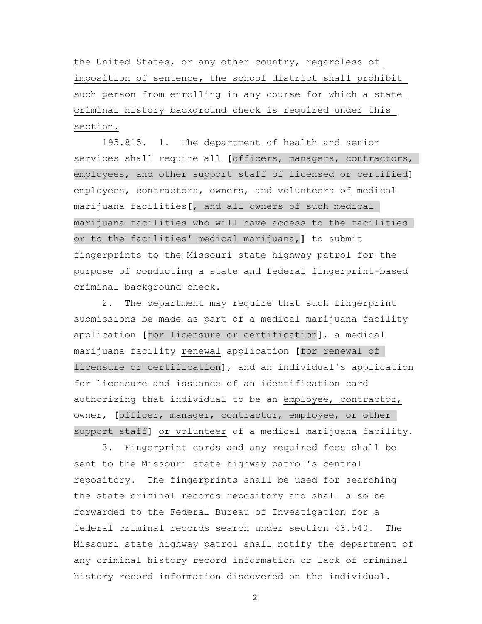the United States, or any other country, regardless of imposition of sentence, the school district shall prohibit such person from enrolling in any course for which a state criminal history background check is required under this section.

 195.815. 1. The department of health and senior services shall require all **[**officers, managers, contractors, employees, and other support staff of licensed or certified**]** employees, contractors, owners, and volunteers of medical marijuana facilities**[**, and all owners of such medical marijuana facilities who will have access to the facilities or to the facilities' medical marijuana,**]** to submit fingerprints to the Missouri state highway patrol for the purpose of conducting a state and federal fingerprint-based criminal background check.

 2. The department may require that such fingerprint submissions be made as part of a medical marijuana facility application **[**for licensure or certification**]**, a medical marijuana facility renewal application **[**for renewal of licensure or certification**]**, and an individual's application for licensure and issuance of an identification card authorizing that individual to be an employee, contractor, owner, **[**officer, manager, contractor, employee, or other support staff**]** or volunteer of a medical marijuana facility.

 3. Fingerprint cards and any required fees shall be sent to the Missouri state highway patrol's central repository. The fingerprints shall be used for searching the state criminal records repository and shall also be forwarded to the Federal Bureau of Investigation for a federal criminal records search under section 43.540. The Missouri state highway patrol shall notify the department of any criminal history record information or lack of criminal history record information discovered on the individual.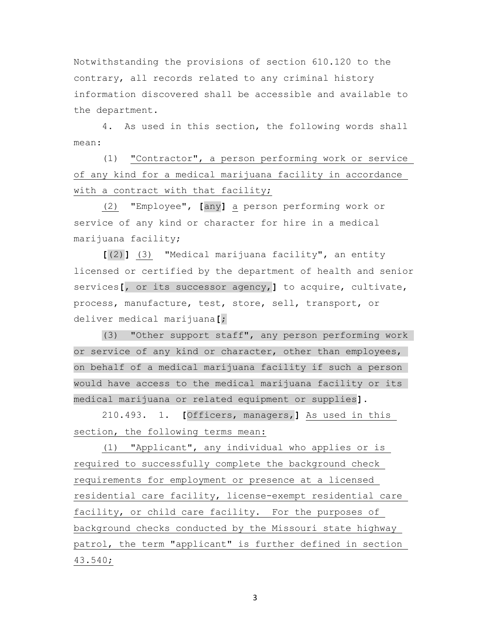Notwithstanding the provisions of section 610.120 to the contrary, all records related to any criminal history information discovered shall be accessible and available to the department.

 4. As used in this section, the following words shall mean:

 (1) "Contractor", a person performing work or service of any kind for a medical marijuana facility in accordance with a contract with that facility;

 (2) "Employee", **[**any**]** a person performing work or service of any kind or character for hire in a medical marijuana facility;

 **[**(2)**]** (3) "Medical marijuana facility", an entity licensed or certified by the department of health and senior services**[**, or its successor agency,**]** to acquire, cultivate, process, manufacture, test, store, sell, transport, or deliver medical marijuana**[**;

 (3) "Other support staff", any person performing work or service of any kind or character, other than employees, on behalf of a medical marijuana facility if such a person would have access to the medical marijuana facility or its medical marijuana or related equipment or supplies**]**.

 210.493. 1. **[**Officers, managers,**]** As used in this section, the following terms mean:

 (1) "Applicant", any individual who applies or is required to successfully complete the background check requirements for employment or presence at a licensed residential care facility, license-exempt residential care facility, or child care facility. For the purposes of background checks conducted by the Missouri state highway patrol, the term "applicant" is further defined in section 43.540;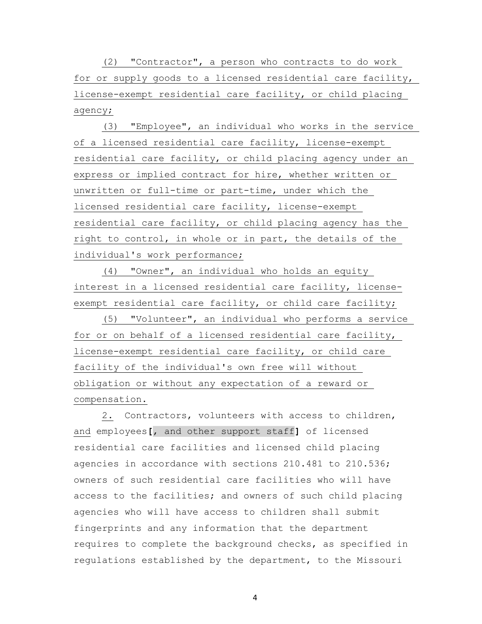(2) "Contractor", a person who contracts to do work for or supply goods to a licensed residential care facility, license-exempt residential care facility, or child placing agency;

 (3) "Employee", an individual who works in the service of a licensed residential care facility, license-exempt residential care facility, or child placing agency under an express or implied contract for hire, whether written or unwritten or full-time or part-time, under which the licensed residential care facility, license-exempt residential care facility, or child placing agency has the right to control, in whole or in part, the details of the individual's work performance;

 (4) "Owner", an individual who holds an equity interest in a licensed residential care facility, licenseexempt residential care facility, or child care facility;

 (5) "Volunteer", an individual who performs a service for or on behalf of a licensed residential care facility, license-exempt residential care facility, or child care facility of the individual's own free will without obligation or without any expectation of a reward or compensation.

 2. Contractors, volunteers with access to children, and employees**[**, and other support staff**]** of licensed residential care facilities and licensed child placing agencies in accordance with sections 210.481 to 210.536; owners of such residential care facilities who will have access to the facilities; and owners of such child placing agencies who will have access to children shall submit fingerprints and any information that the department requires to complete the background checks, as specified in regulations established by the department, to the Missouri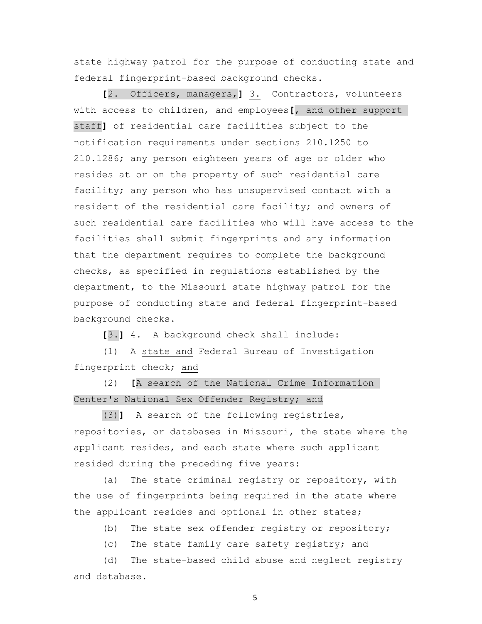state highway patrol for the purpose of conducting state and federal fingerprint-based background checks.

 **[**2. Officers, managers,**]** 3. Contractors, volunteers with access to children, and employees**[**, and other support staff**]** of residential care facilities subject to the notification requirements under sections 210.1250 to 210.1286; any person eighteen years of age or older who resides at or on the property of such residential care facility; any person who has unsupervised contact with a resident of the residential care facility; and owners of such residential care facilities who will have access to the facilities shall submit fingerprints and any information that the department requires to complete the background checks, as specified in regulations established by the department, to the Missouri state highway patrol for the purpose of conducting state and federal fingerprint-based background checks.

**[**3.**]** 4. A background check shall include:

 (1) A state and Federal Bureau of Investigation fingerprint check; and

 (2) **[**A search of the National Crime Information Center's National Sex Offender Registry; and

 (3)**]** A search of the following registries, repositories, or databases in Missouri, the state where the applicant resides, and each state where such applicant resided during the preceding five years:

 (a) The state criminal registry or repository, with the use of fingerprints being required in the state where the applicant resides and optional in other states;

(b) The state sex offender registry or repository;

(c) The state family care safety registry; and

 (d) The state-based child abuse and neglect registry and database.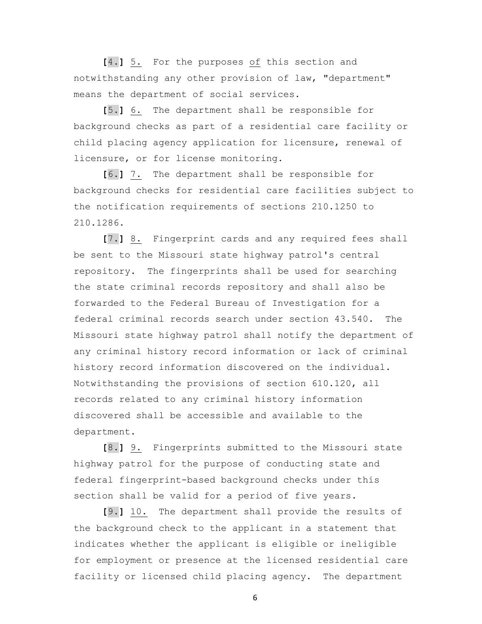**[**4.**]** 5. For the purposes of this section and notwithstanding any other provision of law, "department" means the department of social services.

 **[**5.**]** 6. The department shall be responsible for background checks as part of a residential care facility or child placing agency application for licensure, renewal of licensure, or for license monitoring.

 **[**6.**]** 7. The department shall be responsible for background checks for residential care facilities subject to the notification requirements of sections 210.1250 to 210.1286.

 **[**7.**]** 8. Fingerprint cards and any required fees shall be sent to the Missouri state highway patrol's central repository. The fingerprints shall be used for searching the state criminal records repository and shall also be forwarded to the Federal Bureau of Investigation for a federal criminal records search under section 43.540. The Missouri state highway patrol shall notify the department of any criminal history record information or lack of criminal history record information discovered on the individual. Notwithstanding the provisions of section 610.120, all records related to any criminal history information discovered shall be accessible and available to the department.

 **[**8.**]** 9. Fingerprints submitted to the Missouri state highway patrol for the purpose of conducting state and federal fingerprint-based background checks under this section shall be valid for a period of five years.

 **[**9.**]** 10. The department shall provide the results of the background check to the applicant in a statement that indicates whether the applicant is eligible or ineligible for employment or presence at the licensed residential care facility or licensed child placing agency. The department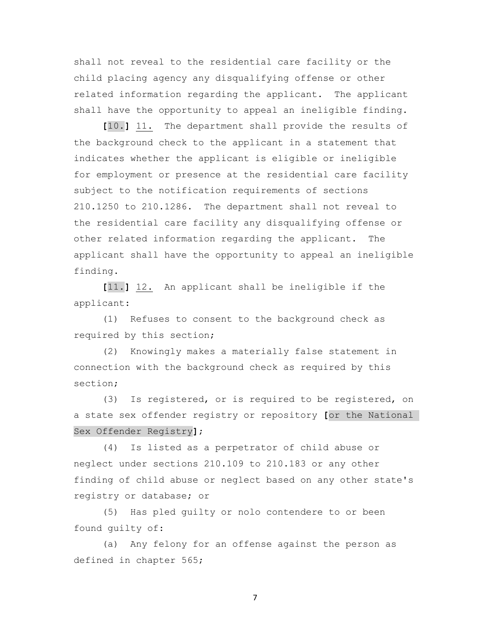shall not reveal to the residential care facility or the child placing agency any disqualifying offense or other related information regarding the applicant. The applicant shall have the opportunity to appeal an ineligible finding.

 **[**10.**]** 11. The department shall provide the results of the background check to the applicant in a statement that indicates whether the applicant is eligible or ineligible for employment or presence at the residential care facility subject to the notification requirements of sections 210.1250 to 210.1286. The department shall not reveal to the residential care facility any disqualifying offense or other related information regarding the applicant. The applicant shall have the opportunity to appeal an ineligible finding.

 **[**11.**]** 12. An applicant shall be ineligible if the applicant:

 (1) Refuses to consent to the background check as required by this section;

 (2) Knowingly makes a materially false statement in connection with the background check as required by this section;

 (3) Is registered, or is required to be registered, on a state sex offender registry or repository **[**or the National Sex Offender Registry**]**;

 (4) Is listed as a perpetrator of child abuse or neglect under sections 210.109 to 210.183 or any other finding of child abuse or neglect based on any other state's registry or database; or

 (5) Has pled guilty or nolo contendere to or been found guilty of:

 (a) Any felony for an offense against the person as defined in chapter 565;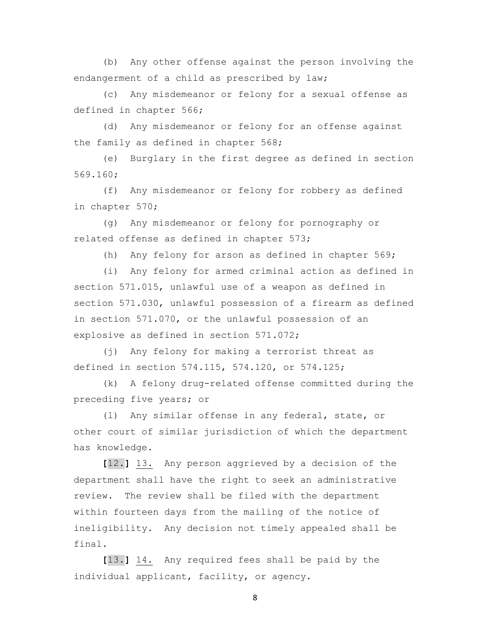(b) Any other offense against the person involving the endangerment of a child as prescribed by law;

 (c) Any misdemeanor or felony for a sexual offense as defined in chapter 566;

 (d) Any misdemeanor or felony for an offense against the family as defined in chapter 568;

 (e) Burglary in the first degree as defined in section 569.160;

 (f) Any misdemeanor or felony for robbery as defined in chapter 570;

 (g) Any misdemeanor or felony for pornography or related offense as defined in chapter 573;

(h) Any felony for arson as defined in chapter 569;

 (i) Any felony for armed criminal action as defined in section 571.015, unlawful use of a weapon as defined in section 571.030, unlawful possession of a firearm as defined in section 571.070, or the unlawful possession of an explosive as defined in section 571.072;

 (j) Any felony for making a terrorist threat as defined in section 574.115, 574.120, or 574.125;

 (k) A felony drug-related offense committed during the preceding five years; or

 (l) Any similar offense in any federal, state, or other court of similar jurisdiction of which the department has knowledge.

 **[**12.**]** 13. Any person aggrieved by a decision of the department shall have the right to seek an administrative review. The review shall be filed with the department within fourteen days from the mailing of the notice of ineligibility. Any decision not timely appealed shall be final.

 **[**13.**]** 14. Any required fees shall be paid by the individual applicant, facility, or agency.